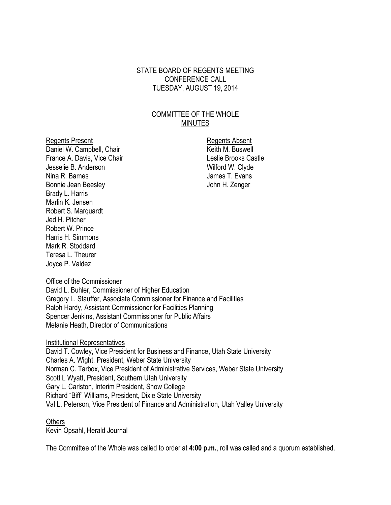### STATE BOARD OF REGENTS MEETING CONFERENCE CALL TUESDAY, AUGUST 19, 2014

## COMMITTEE OF THE WHOLE **MINUTES**

Regents Present **Regents** Absent Daniel W. Campbell, Chair N. Buswell Chair Keith M. Buswell France A. Davis, Vice Chair **Lesuis** Leslie Brooks Castle Jesselie B. Anderson Wilford W. Clyde Nina R. Barnes **I. Evans** Bonnie Jean Beesley **Good Connect Executes** John H. Zenger Brady L. Harris Marlin K. Jensen Robert S. Marquardt Jed H. Pitcher Robert W. Prince Harris H. Simmons Mark R. Stoddard Teresa L. Theurer Joyce P. Valdez

#### Office of the Commissioner

David L. Buhler, Commissioner of Higher Education Gregory L. Stauffer, Associate Commissioner for Finance and Facilities Ralph Hardy, Assistant Commissioner for Facilities Planning Spencer Jenkins, Assistant Commissioner for Public Affairs Melanie Heath, Director of Communications

#### Institutional Representatives

David T. Cowley, Vice President for Business and Finance, Utah State University Charles A. Wight, President, Weber State University Norman C. Tarbox, Vice President of Administrative Services, Weber State University Scott L Wyatt, President, Southern Utah University Gary L. Carlston, Interim President, Snow College Richard "Biff" Williams, President, Dixie State University Val L. Peterson, Vice President of Finance and Administration, Utah Valley University

#### **Others**

Kevin Opsahl, Herald Journal

The Committee of the Whole was called to order at **4:00 p.m.**, roll was called and a quorum established.